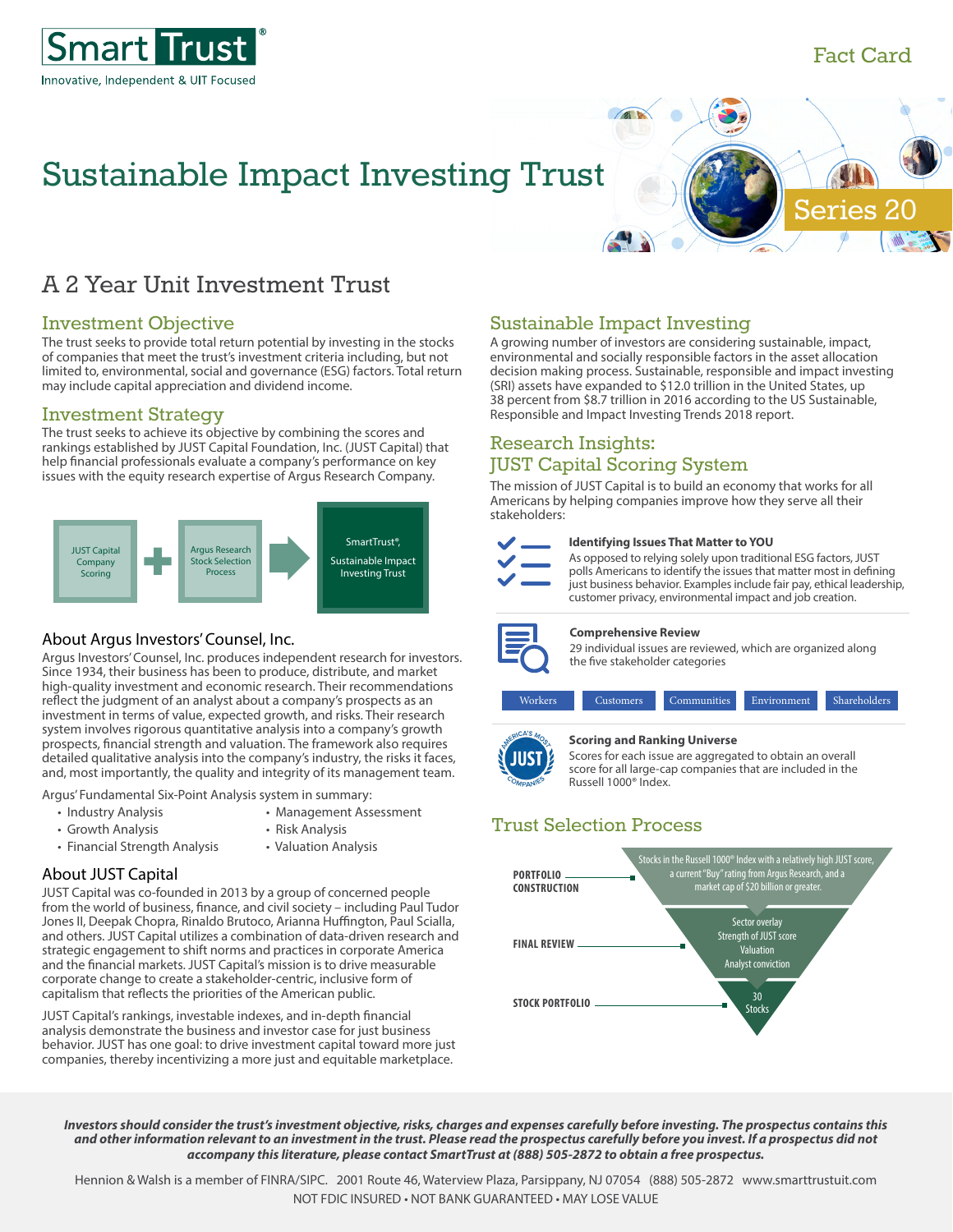

## Fact Card

**Series** 

# Sustainable Impact Investing Trust

## A 2 Year Unit Investment Trust

## Investment Objective

The trust seeks to provide total return potential by investing in the stocks of companies that meet the trust's investment criteria including, but not limited to, environmental, social and governance (ESG) factors. Total return may include capital appreciation and dividend income.

## Investment Strategy

The trust seeks to achieve its objective by combining the scores and rankings established by JUST Capital Foundation, Inc. (JUST Capital) that help financial professionals evaluate a company's performance on key issues with the equity research expertise of Argus Research Company.



## About Argus Investors' Counsel, Inc.

Argus Investors' Counsel, Inc. produces independent research for investors. Since 1934, their business has been to produce, distribute, and market high-quality investment and economic research. Their recommendations reflect the judgment of an analyst about a company's prospects as an investment in terms of value, expected growth, and risks. Their research system involves rigorous quantitative analysis into a company's growth prospects, financial strength and valuation. The framework also requires detailed qualitative analysis into the company's industry, the risks it faces, and, most importantly, the quality and integrity of its management team.

Argus' Fundamental Six-Point Analysis system in summary:

- Industry Analysis Management Assessment
- Growth Analysis Risk Analysis
- 
- Financial Strength Analysis Valuation Analysis
- 
- 
- 

## About JUST Capital

JUST Capital was co-founded in 2013 by a group of concerned people from the world of business, finance, and civil society – including Paul Tudor Jones II, Deepak Chopra, Rinaldo Brutoco, Arianna Huffington, Paul Scialla, and others. JUST Capital utilizes a combination of data-driven research and strategic engagement to shift norms and practices in corporate America and the financial markets. JUST Capital's mission is to drive measurable corporate change to create a stakeholder-centric, inclusive form of capitalism that reflects the priorities of the American public.

JUST Capital's rankings, investable indexes, and in-depth financial analysis demonstrate the business and investor case for just business behavior. JUST has one goal: to drive investment capital toward more just companies, thereby incentivizing a more just and equitable marketplace.

## Sustainable Impact Investing

AI)

A growing number of investors are considering sustainable, impact, environmental and socially responsible factors in the asset allocation decision making process. Sustainable, responsible and impact investing (SRI) assets have expanded to \$12.0 trillion in the United States, up 38 percent from \$8.7 trillion in 2016 according to the US Sustainable, Responsible and Impact Investing Trends 2018 report.

## Research Insights: JUST Capital Scoring System

The mission of JUST Capital is to build an economy that works for all Americans by helping companies improve how they serve all their stakeholders:



#### **Identifying Issues That Matter to YOU**

As opposed to relying solely upon traditional ESG factors, JUST polls Americans to identify the issues that matter most in defining just business behavior. Examples include fair pay, ethical leadership, customer privacy, environmental impact and job creation.



#### **Comprehensive Review**

29 individual issues are reviewed, which are organized along the five stakeholder categories





#### **Scoring and Ranking Universe**

Scores for each issue are aggregated to obtain an overall score for all large-cap companies that are included in the Russell 1000® Index.

## Trust Selection Process



*Investors should consider the trust's investment objective, risks, charges and expenses carefully before investing. The prospectus contains this and other information relevant to an investment in the trust. Please read the prospectus carefully before you invest. If a prospectus did not accompany this literature, please contact SmartTrust at (888) 505-2872 to obtain a free prospectus.*

Hennion & Walsh is a member of FINRA/SIPC. 2001 Route 46, Waterview Plaza, Parsippany, NJ 07054 (888) 505-2872 www.smarttrustuit.com NOT FDIC INSURED • NOT BANK GUARANTEED • MAY LOSE VALUE